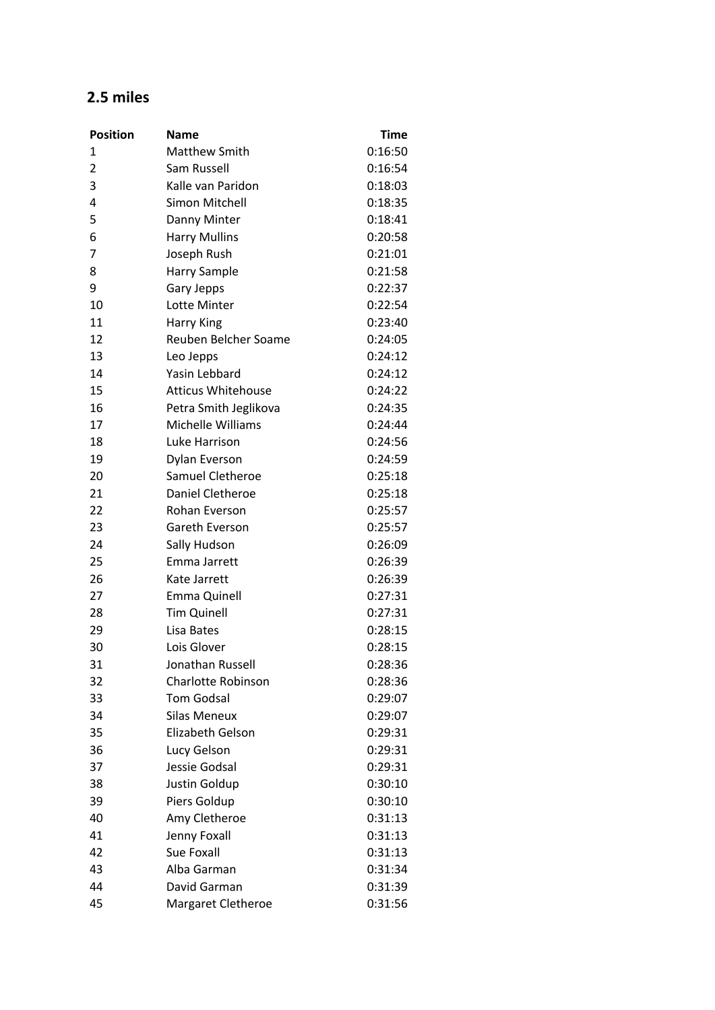## **2.5 miles**

| <b>Position</b> | <b>Name</b>               | Time    |
|-----------------|---------------------------|---------|
| 1               | <b>Matthew Smith</b>      | 0:16:50 |
| $\overline{2}$  | Sam Russell               | 0:16:54 |
| 3               | Kalle van Paridon         | 0:18:03 |
| 4               | Simon Mitchell            | 0:18:35 |
| 5               | Danny Minter              | 0:18:41 |
| 6               | <b>Harry Mullins</b>      | 0:20:58 |
| 7               | Joseph Rush               | 0:21:01 |
| 8               | Harry Sample              | 0:21:58 |
| 9               | Gary Jepps                | 0:22:37 |
| 10              | Lotte Minter              | 0:22:54 |
| 11              | <b>Harry King</b>         | 0:23:40 |
| 12              | Reuben Belcher Soame      | 0:24:05 |
| 13              | Leo Jepps                 | 0:24:12 |
| 14              | Yasin Lebbard             | 0:24:12 |
| 15              | <b>Atticus Whitehouse</b> | 0:24:22 |
| 16              | Petra Smith Jeglikova     | 0:24:35 |
| 17              | Michelle Williams         | 0:24:44 |
| 18              | Luke Harrison             | 0:24:56 |
| 19              | Dylan Everson             | 0:24:59 |
| 20              | Samuel Cletheroe          | 0:25:18 |
| 21              | Daniel Cletheroe          | 0:25:18 |
| 22              | Rohan Everson             | 0:25:57 |
| 23              | Gareth Everson            | 0:25:57 |
| 24              | Sally Hudson              | 0:26:09 |
| 25              | Emma Jarrett              | 0:26:39 |
| 26              | Kate Jarrett              | 0:26:39 |
| 27              | Emma Quinell              | 0:27:31 |
| 28              | <b>Tim Quinell</b>        | 0:27:31 |
| 29              | Lisa Bates                | 0:28:15 |
| 30              | Lois Glover               | 0:28:15 |
| 31              | Jonathan Russell          | 0:28:36 |
| 32              | <b>Charlotte Robinson</b> | 0:28:36 |
| 33              | <b>Tom Godsal</b>         | 0:29:07 |
| 34              | <b>Silas Meneux</b>       | 0:29:07 |
| 35              | Elizabeth Gelson          | 0:29:31 |
| 36              | Lucy Gelson               | 0:29:31 |
| 37              | Jessie Godsal             | 0:29:31 |
| 38              | Justin Goldup             | 0:30:10 |
| 39              | Piers Goldup              | 0:30:10 |
| 40              | Amy Cletheroe             | 0:31:13 |
| 41              | Jenny Foxall              | 0:31:13 |
| 42              | Sue Foxall                | 0:31:13 |
| 43              | Alba Garman               | 0:31:34 |
| 44              | David Garman              | 0:31:39 |
| 45              | Margaret Cletheroe        | 0:31:56 |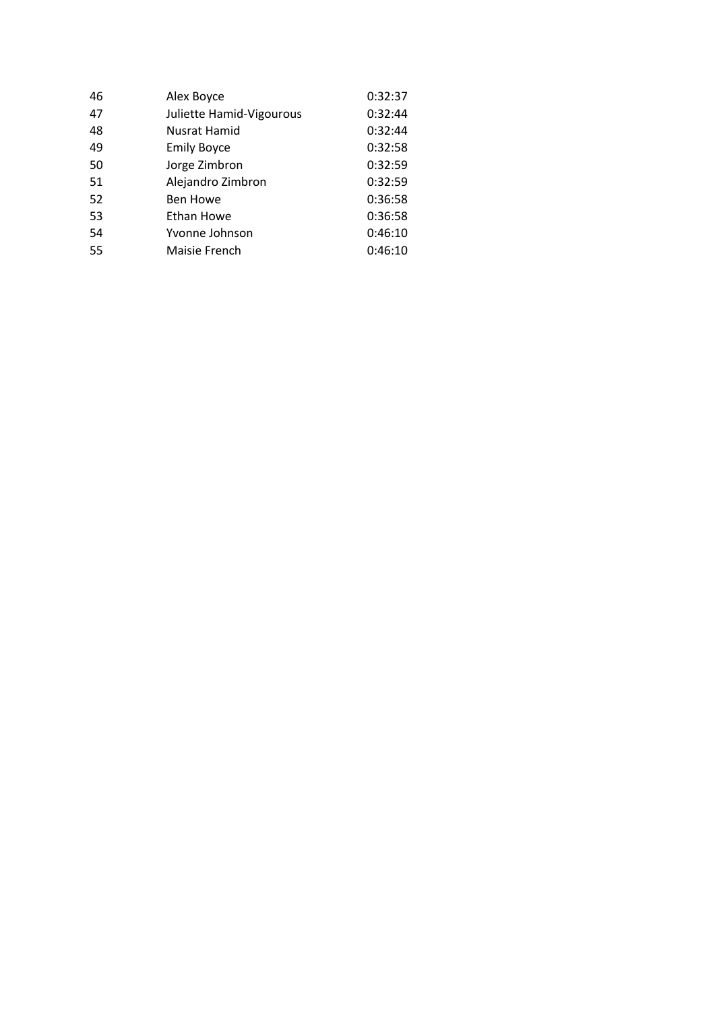| 46 | Alex Boyce               | 0:32:37 |
|----|--------------------------|---------|
| 47 | Juliette Hamid-Vigourous | 0:32:44 |
| 48 | Nusrat Hamid             | 0:32:44 |
| 49 | <b>Emily Boyce</b>       | 0:32:58 |
| 50 | Jorge Zimbron            | 0:32:59 |
| 51 | Alejandro Zimbron        | 0:32:59 |
| 52 | <b>Ben Howe</b>          | 0:36:58 |
| 53 | Ethan Howe               | 0:36:58 |
| 54 | Yvonne Johnson           | 0:46:10 |
| 55 | Maisie French            | 0:46:10 |
|    |                          |         |